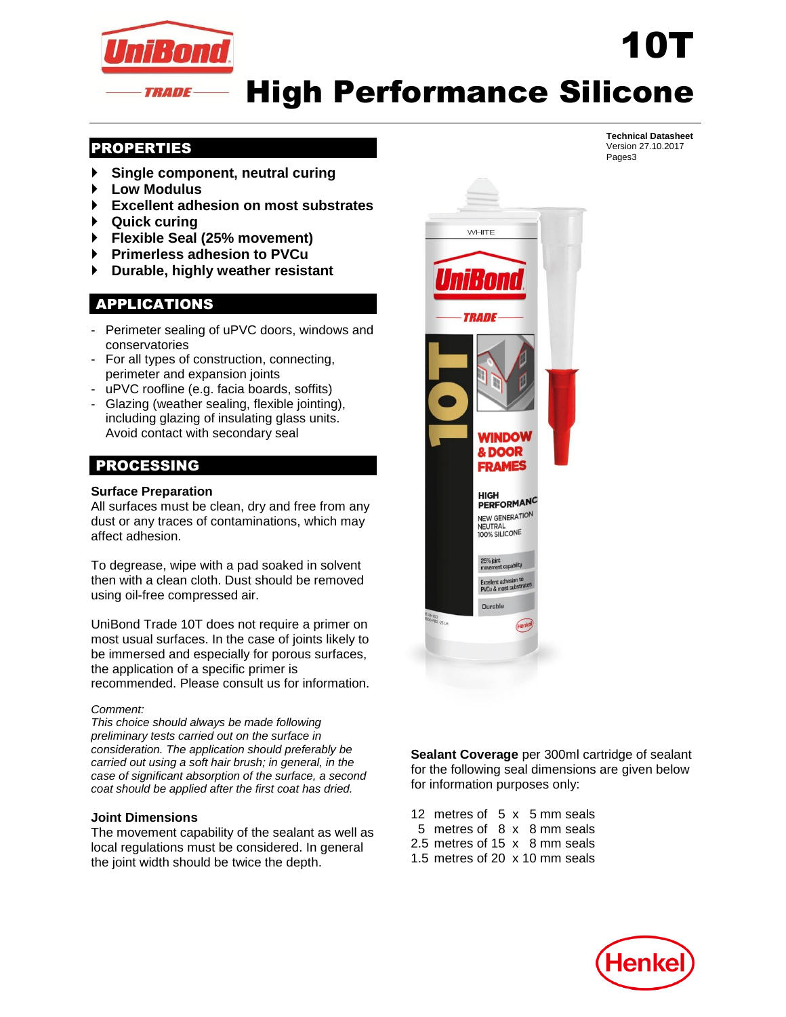

## High Performance Silicone

## PROPERTIES

- **Single component, neutral curing**
- **Low Modulus**
- **Excellent adhesion on most substrates**
- **Quick curing**
- **Flexible Seal (25% movement)**
- **Primerless adhesion to PVCu**
- **Durable, highly weather resistant**

## APPLICATIONS

- Perimeter sealing of uPVC doors, windows and conservatories
- For all types of construction, connecting, perimeter and expansion joints
- uPVC roofline (e.g. facia boards, soffits)
- Glazing (weather sealing, flexible jointing), including glazing of insulating glass units. Avoid contact with secondary seal

## PROCESSING

#### **Surface Preparation**

All surfaces must be clean, dry and free from any dust or any traces of contaminations, which may affect adhesion.

To degrease, wipe with a pad soaked in solvent then with a clean cloth. Dust should be removed using oil-free compressed air.

UniBond Trade 10T does not require a primer on most usual surfaces. In the case of joints likely to be immersed and especially for porous surfaces, the application of a specific primer is recommended. Please consult us for information.

#### *Comment:*

*This choice should always be made following preliminary tests carried out on the surface in consideration. The application should preferably be carried out using a soft hair brush; in general, in the case of significant absorption of the surface, a second coat should be applied after the first coat has dried.*

#### **Joint Dimensions**

The movement capability of the sealant as well as local regulations must be considered. In general the joint width should be twice the depth.



**Sealant Coverage** per 300ml cartridge of sealant for the following seal dimensions are given below for information purposes only:

12 metres of 5 x 5 mm seals 5 metres of 8 x 8 mm seals 2.5 metres of 15 x 8 mm seals 1.5 metres of 20 x 10 mm seals



**Technical Datasheet** Version 27.10.2017 Pages3

10T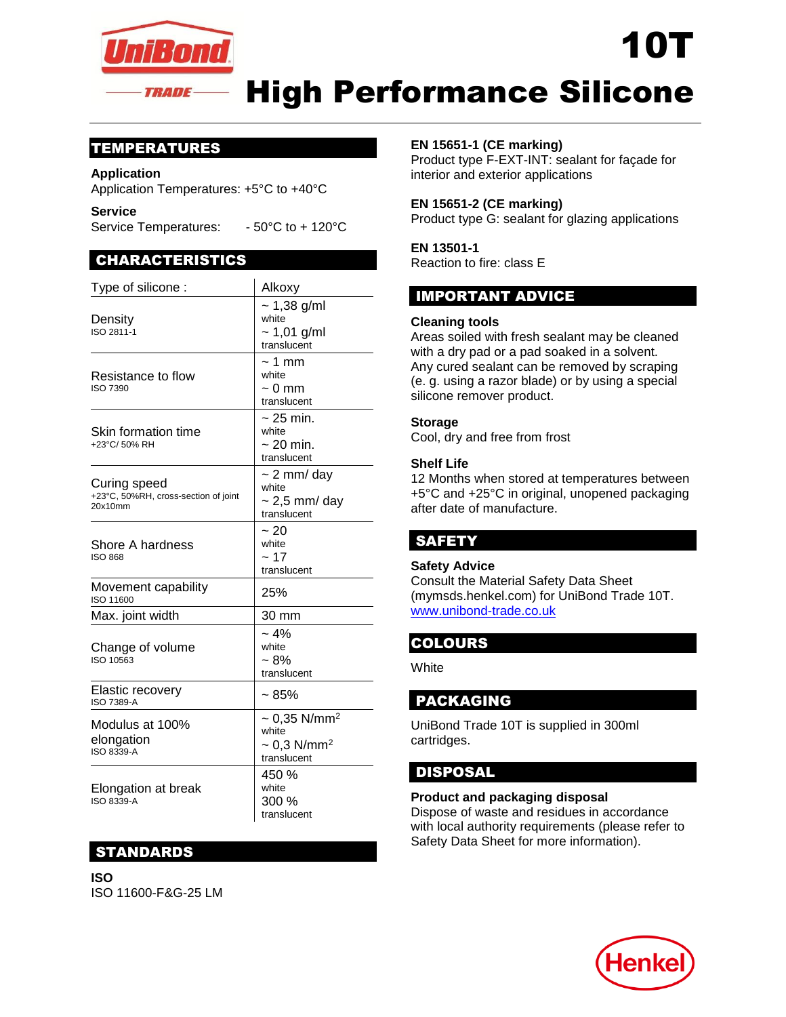

# High Performance Silicone

## TEMPERATURES

#### **Application**

Application Temperatures: +5°C to +40°C

**Service** 

Service Temperatures: - 50°C to + 120°C

## CHARACTERISTICS

| Type of silicone :                                              | Alkoxy                                                                                |
|-----------------------------------------------------------------|---------------------------------------------------------------------------------------|
| Density<br>ISO 2811-1                                           | $~1,38$ g/ml<br>white<br>$~1,01$ g/ml<br>translucent                                  |
| Resistance to flow<br><b>ISO 7390</b>                           | $\sim$ 1 mm<br>white<br>$\sim 0$ mm<br>translucent                                    |
| Skin formation time<br>+23°C/50% RH                             | $\sim$ 25 min.<br>white<br>$\sim$ 20 min.<br>translucent                              |
| Curing speed<br>+23°C, 50%RH, cross-section of joint<br>20x10mm | $\sim$ 2 mm/ day<br>white<br>$\sim$ 2,5 mm/ day<br>translucent                        |
| Shore A hardness<br><b>ISO 868</b>                              | ~20<br>white<br>~17<br>translucent                                                    |
| Movement capability<br>ISO 11600                                | 25%                                                                                   |
| Max. joint width                                                | 30 mm                                                                                 |
| Change of volume<br>ISO 10563                                   | ~10/2<br>white<br>~18%<br>translucent                                                 |
| Elastic recovery<br><b>ISO 7389-A</b>                           | ~1.85%                                                                                |
| Modulus at 100%<br>elongation<br>ISO 8339-A                     | $\sim 0.35$ N/mm <sup>2</sup><br>white<br>$\sim 0.3$ N/mm <sup>2</sup><br>translucent |
| Elongation at break<br>ISO 8339-A                               | 450 %<br>white<br>300 %<br>translucent                                                |

## STANDARDS

**ISO**  ISO 11600-F&G-25 LM

#### **EN 15651-1 (CE marking)**

Product type F-EXT-INT: sealant for façade for interior and exterior applications

10T

### **EN 15651-2 (CE marking)**

Product type G: sealant for glazing applications

#### **EN 13501-1**

Reaction to fire: class E

## IMPORTANT ADVICE

#### **Cleaning tools**

Areas soiled with fresh sealant may be cleaned with a dry pad or a pad soaked in a solvent. Any cured sealant can be removed by scraping (e. g. using a razor blade) or by using a special silicone remover product.

#### **Storage**

Cool, dry and free from frost

#### **Shelf Life**

12 Months when stored at temperatures between +5°C and +25°C in original, unopened packaging after date of manufacture.

## SAFETY

#### **Safety Advice**

Consult the Material Safety Data Sheet (mymsds.henkel.com) for UniBond Trade 10T. [www.unibond-trade.co.uk](http://www.unibond-trade.co.uk/)

## COLOURS

**White** 

## PACKAGING

UniBond Trade 10T is supplied in 300ml cartridges.

## DISPOSAL

#### **Product and packaging disposal**

Dispose of waste and residues in accordance with local authority requirements (please refer to Safety Data Sheet for more information).